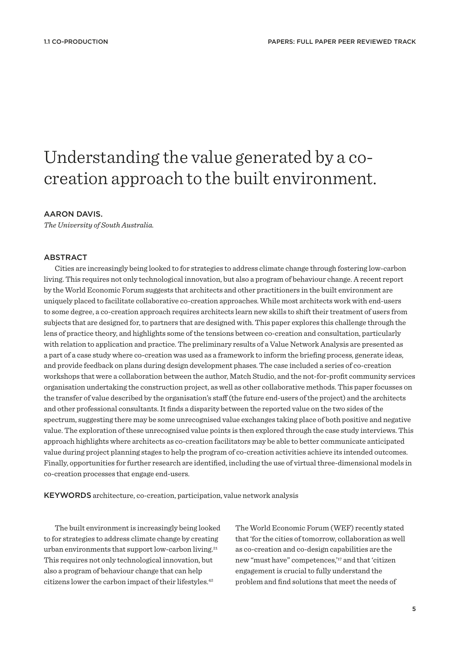# Understanding the value generated by a cocreation approach to the built environment.

# AARON DAVIS.

*The University of South Australia.*

# ABSTRACT

Cities are increasingly being looked to for strategies to address climate change through fostering low-carbon living. This requires not only technological innovation, but also a program of behaviour change. A recent report by the World Economic Forum suggests that architects and other practitioners in the built environment are uniquely placed to facilitate collaborative co-creation approaches. While most architects work with end-users to some degree, a co-creation approach requires architects learn new skills to shift their treatment of users from subjects that are designed for, to partners that are designed with. This paper explores this challenge through the lens of practice theory, and highlights some of the tensions between co-creation and consultation, particularly with relation to application and practice. The preliminary results of a Value Network Analysis are presented as a part of a case study where co-creation was used as a framework to inform the briefing process, generate ideas, and provide feedback on plans during design development phases. The case included a series of co-creation workshops that were a collaboration between the author, Match Studio, and the not-for-profit community services organisation undertaking the construction project, as well as other collaborative methods. This paper focusses on the transfer of value described by the organisation's staff (the future end-users of the project) and the architects and other professional consultants. It finds a disparity between the reported value on the two sides of the spectrum, suggesting there may be some unrecognised value exchanges taking place of both positive and negative value. The exploration of these unrecognised value points is then explored through the case study interviews. This approach highlights where architects as co-creation facilitators may be able to better communicate anticipated value during project planning stages to help the program of co-creation activities achieve its intended outcomes. Finally, opportunities for further research are identified, including the use of virtual three-dimensional models in co-creation processes that engage end-users.

KEYWORDS architecture, co-creation, participation, value network analysis

The built environment is increasingly being looked to for strategies to address climate change by creating urban environments that support low-carbon living.<sup>21</sup> This requires not only technological innovation, but also a program of behaviour change that can help citizens lower the carbon impact of their lifestyles.<sup>42</sup>

The World Economic Forum (WEF) recently stated that 'for the cities of tomorrow, collaboration as well as co-creation and co-design capabilities are the new "must have" competences,'<sup>17</sup> and that 'citizen engagement is crucial to fully understand the problem and find solutions that meet the needs of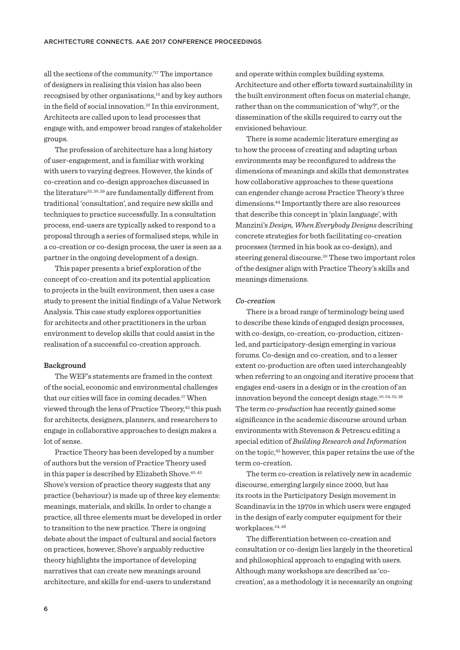all the sections of the community.'<sup>17</sup> The importance of designers in realising this vision has also been recognised by other organisations,<sup>13</sup> and by key authors in the field of social innovation.<sup>32</sup> In this environment, Architects are called upon to lead processes that engage with, and empower broad ranges of stakeholder groups.

The profession of architecture has a long history of user-engagement, and is familiar with working with users to varying degrees. However, the kinds of co-creation and co-design approaches discussed in the literature<sup>25, 30, 39</sup> are fundamentally different from traditional 'consultation', and require new skills and techniques to practice successfully. In a consultation process, end-users are typically asked to respond to a proposal through a series of formalised steps, while in a co-creation or co-design process, the user is seen as a partner in the ongoing development of a design.

This paper presents a brief exploration of the concept of co-creation and its potential application to projects in the built environment, then uses a case study to present the initial findings of a Value Network Analysis. This case study explores opportunities for architects and other practitioners in the urban environment to develop skills that could assist in the realisation of a successful co-creation approach.

#### **Background**

The WEF's statements are framed in the context of the social, economic and environmental challenges that our cities will face in coming decades.<sup>17</sup> When viewed through the lens of Practice Theory,<sup>43</sup> this push for architects, designers, planners, and researchers to engage in collaborative approaches to design makes a lot of sense.

Practice Theory has been developed by a number of authors but the version of Practice Theory used in this paper is described by Elizabeth Shove.<sup>42, 43</sup> Shove's version of practice theory suggests that any practice (behaviour) is made up of three key elements: meanings, materials, and skills. In order to change a practice, all three elements must be developed in order to transition to the new practice. There is ongoing debate about the impact of cultural and social factors on practices, however, Shove's arguably reductive theory highlights the importance of developing narratives that can create new meanings around architecture, and skills for end-users to understand

and operate within complex building systems. Architecture and other efforts toward sustainability in the built environment often focus on material change, rather than on the communication of 'why?', or the dissemination of the skills required to carry out the envisioned behaviour.

There is some academic literature emerging as to how the process of creating and adapting urban environments may be reconfigured to address the dimensions of meanings and skills that demonstrates how collaborative approaches to these questions can engender change across Practice Theory's three dimensions.<sup>44</sup> Importantly there are also resources that describe this concept in 'plain language', with Manzini's *Design, When Everybody Designs* describing concrete strategies for both facilitating co-creation processes (termed in his book as co-design), and steering general discourse.<sup>30</sup> These two important roles of the designer align with Practice Theory's skills and meanings dimensions.

#### *Co-creation*

There is a broad range of terminology being used to describe these kinds of engaged design processes, with co-design, co-creation, co-production, citizenled, and participatory-design emerging in various forums. Co-design and co-creation, and to a lesser extent co-production are often used interchangeably when referring to an ongoing and iterative process that engages end-users in a design or in the creation of an innovation beyond the concept design stage.<sup>10</sup>, 24, 25, <sup>39</sup> The term *co-production* has recently gained some significance in the academic discourse around urban environments with Stevenson & Petrescu editing a special edition of *Building Research and Information*  on the topic,<sup>45</sup> however, this paper retains the use of the term co-creation.

The term co-creation is relatively new in academic discourse, emerging largely since 2000, but has its roots in the Participatory Design movement in Scandinavia in the 1970s in which users were engaged in the design of early computer equipment for their workplaces.<sup>24, 46</sup>

The diferentiation between co-creation and consultation or co-design lies largely in the theoretical and philosophical approach to engaging with users. Although many workshops are described as 'cocreation', as a methodology it is necessarily an ongoing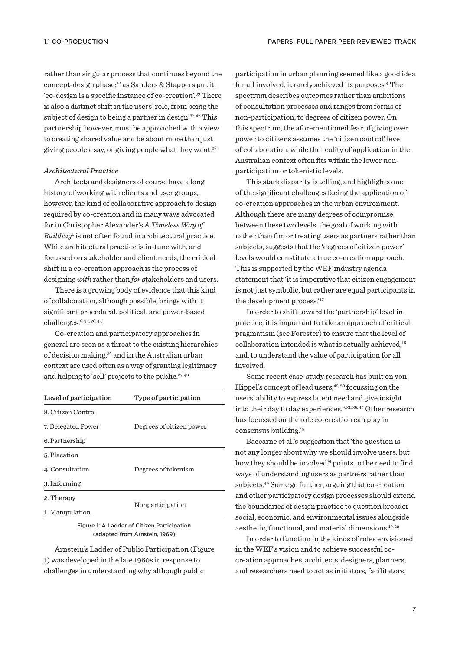rather than singular process that continues beyond the concept-design phase;<sup>10</sup> as Sanders & Stappers put it, 'co-design is a specific instance of co-creation'.<sup>39</sup> There is also a distinct shift in the users' role, from being the subject of design to being a partner in design.<sup>37, 46</sup> This partnership however, must be approached with a view to creating shared value and be about more than just giving people a say, or giving people what they want.<sup>38</sup>

### *Architectural Practice*

Architects and designers of course have a long history of working with clients and user groups, however, the kind of collaborative approach to design required by co-creation and in many ways advocated for in Christopher Alexander's *A Timeless Way of Building*<sup>1</sup> is not often found in architectural practice. While architectural practice is in-tune with, and focussed on stakeholder and client needs, the critical shift in a co-creation approach is the process of designing *with* rather than *for* stakeholders and users.

There is a growing body of evidence that this kind of collaboration, although possible, brings with it significant procedural, political, and power-based challenges.<sup>8</sup>, 34, 36, <sup>44</sup>

Co-creation and participatory approaches in general are seen as a threat to the existing hierarchies of decision making,<sup>39</sup> and in the Australian urban context are used often as a way of granting legitimacy and helping to 'sell' projects to the public.<sup>27, 40</sup>

| Level of participation | Type of participation    |
|------------------------|--------------------------|
| 8. Citizen Control     |                          |
| 7. Delegated Power     | Degrees of citizen power |
| 6. Partnership         |                          |
| 5. Placation           |                          |
| 4. Consultation        | Degrees of tokenism      |
| 3. Informing           |                          |
| 2. Therapy             | Nonparticipation         |
| 1. Manipulation        |                          |

Figure 1: A Ladder of Citizen Participation (adapted from Arnstein, 1969)

Arnstein's Ladder of Public Participation (Figure 1) was developed in the late 1960s in response to challenges in understanding why although public

participation in urban planning seemed like a good idea for all involved, it rarely achieved its purposes.<sup>4</sup> The spectrum describes outcomes rather than ambitions of consultation processes and ranges from forms of non-participation, to degrees of citizen power. On this spectrum, the aforementioned fear of giving over power to citizens assumes the 'citizen control' level of collaboration, while the reality of application in the Australian context often fits within the lower nonparticipation or tokenistic levels.

This stark disparity is telling, and highlights one of the significant challenges facing the application of co-creation approaches in the urban environment. Although there are many degrees of compromise between these two levels, the goal of working with rather than for, or treating users as partners rather than subjects, suggests that the 'degrees of citizen power' levels would constitute a true co-creation approach. This is supported by the WEF industry agenda statement that 'it is imperative that citizen engagement is not just symbolic, but rather are equal participants in the development process.'<sup>17</sup>

In order to shift toward the 'partnership' level in practice, it is important to take an approach of critical pragmatism (see Forester) to ensure that the level of collaboration intended is what is actually achieved; $16$ and, to understand the value of participation for all involved.

Some recent case-study research has built on von Hippel's concept of lead users,<sup>49</sup>, <sup>50</sup> focussing on the users' ability to express latent need and give insight into their day to day experiences.<sup>9</sup>, 31, 36, <sup>44</sup> Other research has focussed on the role co-creation can play in consensus building.<sup>15</sup>

Baccarne et al.'s suggestion that 'the question is not any longer about why we should involve users, but how they should be involved'<sup>6</sup> points to the need to find ways of understanding users as partners rather than subjects.<sup>46</sup> Some go further, arguing that co-creation and other participatory design processes should extend the boundaries of design practice to question broader social, economic, and environmental issues alongside aesthetic, functional, and material dimensions.<sup>19, 29</sup>

In order to function in the kinds of roles envisioned in the WEF's vision and to achieve successful cocreation approaches, architects, designers, planners, and researchers need to act as initiators, facilitators,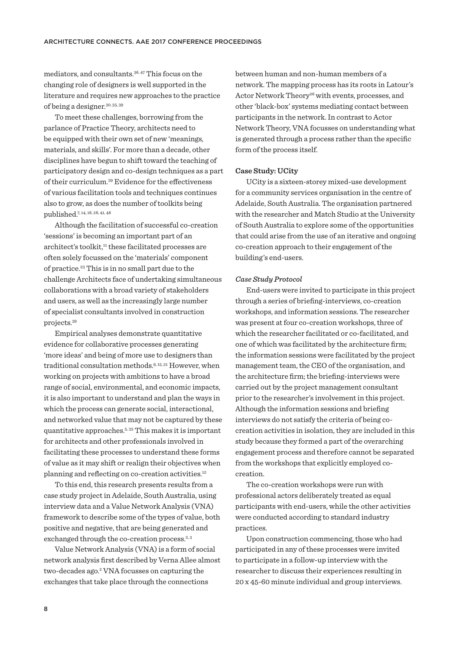mediators, and consultants.<sup>36</sup>, <sup>47</sup> This focus on the changing role of designers is well supported in the literature and requires new approaches to the practice of being a designer.<sup>30</sup>, 35, <sup>39</sup>

To meet these challenges, borrowing from the parlance of Practice Theory, architects need to be equipped with their own set of new 'meanings, materials, and skills'. For more than a decade, other disciplines have begun to shift toward the teaching of participatory design and co-design techniques as a part of their curriculum.<sup>39</sup> Evidence for the effectiveness of various facilitation tools and techniques continues also to grow, as does the number of toolkits being published.<sup>7</sup>, 14, 18, 28, 41, <sup>48</sup>

Although the facilitation of successful co-creation 'sessions' is becoming an important part of an architect's toolkit,<sup>11</sup> these facilitated processes are often solely focussed on the 'materials' component of practice.<sup>23</sup> This is in no small part due to the challenge Architects face of undertaking simultaneous collaborations with a broad variety of stakeholders and users, as well as the increasingly large number of specialist consultants involved in construction projects.<sup>39</sup>

Empirical analyses demonstrate quantitative evidence for collaborative processes generating 'more ideas' and being of more use to designers than traditional consultation methods.<sup>9</sup>, 15, <sup>31</sup> However, when working on projects with ambitions to have a broad range of social, environmental, and economic impacts, it is also important to understand and plan the ways in which the process can generate social, interactional, and networked value that may not be captured by these quantitative approaches.<sup>5</sup>, <sup>33</sup> This makes it is important for architects and other professionals involved in facilitating these processes to understand these forms of value as it may shift or realign their objectives when planning and reflecting on co-creation activities.<sup>12</sup>

To this end, this research presents results from a case study project in Adelaide, South Australia, using interview data and a Value Network Analysis (VNA) framework to describe some of the types of value, both positive and negative, that are being generated and exchanged through the co-creation process.<sup>2, 3</sup>

Value Network Analysis (VNA) is a form of social network analysis first described by Verna Allee almost two-decades ago.<sup>2</sup> VNA focusses on capturing the exchanges that take place through the connections

between human and non-human members of a network. The mapping process has its roots in Latour's Actor Network Theory<sup>26</sup> with events, processes, and other 'black-box' systems mediating contact between participants in the network. In contrast to Actor Network Theory, VNA focusses on understanding what is generated through a process rather than the specific form of the process itself.

### **Case Study: UCity**

UCity is a sixteen-storey mixed-use development for a community services organisation in the centre of Adelaide, South Australia. The organisation partnered with the researcher and Match Studio at the University of South Australia to explore some of the opportunities that could arise from the use of an iterative and ongoing co-creation approach to their engagement of the building's end-users.

#### *Case Study Protocol*

End-users were invited to participate in this project through a series of briefing-interviews, co-creation workshops, and information sessions. The researcher was present at four co-creation workshops, three of which the researcher facilitated or co-facilitated, and one of which was facilitated by the architecture firm; the information sessions were facilitated by the project management team, the CEO of the organisation, and the architecture firm; the briefing-interviews were carried out by the project management consultant prior to the researcher's involvement in this project. Although the information sessions and briefing interviews do not satisfy the criteria of being cocreation activities in isolation, they are included in this study because they formed a part of the overarching engagement process and therefore cannot be separated from the workshops that explicitly employed cocreation.

The co-creation workshops were run with professional actors deliberately treated as equal participants with end-users, while the other activities were conducted according to standard industry practices.

Upon construction commencing, those who had participated in any of these processes were invited to participate in a follow-up interview with the researcher to discuss their experiences resulting in 20 x 45-60 minute individual and group interviews.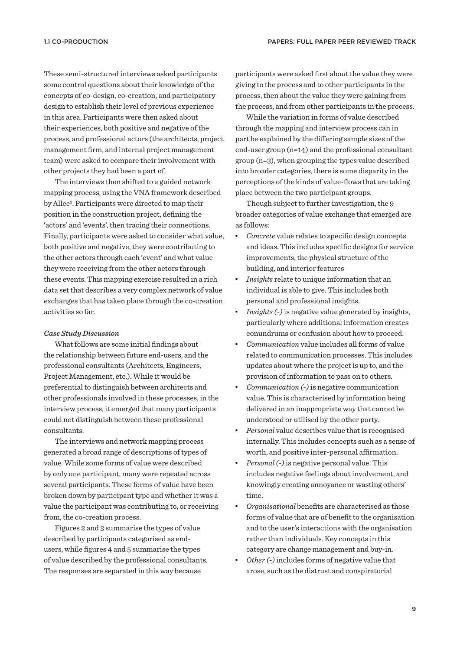These semi-structured interviews asked participants some control questions about their knowledge of the concepts of co-design, co-creation, and participatory design to establish their level of previous experience in this area. Participants were then asked about their experiences, both positive and negative of the process, and professional actors (the architects, project management firm, and internal project management team) were asked to compare their involvement with other projects they had been a part of.

The interviews then shifted to a guided network mapping process, using the VNA framework described by Allee<sup>3</sup> . Participants were directed to map their position in the construction project, defining the 'actors' and 'events', then tracing their connections. Finally, participants were asked to consider what value, both positive and negative, they were contributing to the other actors through each 'event' and what value they were receiving from the other actors through these events. This mapping exercise resulted in a rich data set that describes a very complex network of value exchanges that has taken place through the co-creation activities so far.

### *Case Study Discussion*

What follows are some initial findings about the relationship between future end-users, and the professional consultants (Architects, Engineers, Project Management, etc.). While it would be preferential to distinguish between architects and other professionals involved in these processes, in the interview process, it emerged that many participants could not distinguish between these professional consultants.

The interviews and network mapping process generated a broad range of descriptions of types of value. While some forms of value were described by only one participant, many were repeated across several participants. These forms of value have been broken down by participant type and whether it was a value the participant was contributing to, or receiving from, the co-creation process.

Figures 2 and 3 summarise the types of value described by participants categorised as endusers, while figures 4 and 5 summarise the types of value described by the professional consultants. The responses are separated in this way because

participants were asked first about the value they were giving to the process and to other participants in the process, then about the value they were gaining from the process, and from other participants in the process.

While the variation in forms of value described through the mapping and interview process can in part be explained by the difering sample sizes of the end-user group (n=14) and the professional consultant group (n=3), when grouping the types value described into broader categories, there is some disparity in the perceptions of the kinds of value-flows that are taking place between the two participant groups.

Though subject to further investigation, the 9 broader categories of value exchange that emerged are as follows:

- ཚ *Concrete* value relates to specific design concepts and ideas. This includes specific designs for service improvements, the physical structure of the building, and interior features
- ཚ *Insights* relate to unique information that an individual is able to give. This includes both personal and professional insights.
- *Insights (-)* is negative value generated by insights, particularly where additional information creates conundrums or confusion about how to proceed.
- ཚ *Communication* value includes all forms of value related to communication processes. This includes updates about where the project is up to, and the provision of information to pass on to others.
- ཚ *Communication (-)* is negative communication value. This is characterised by information being delivered in an inappropriate way that cannot be understood or utilised by the other party.
- ཚ *Personal* value describes value that is recognised internally. This includes concepts such as a sense of worth, and positive inter-personal affirmation.
- *Personal* (-) is negative personal value. This includes negative feelings about involvement, and knowingly creating annoyance or wasting others' time.
- ཚ *Organisational* benefits are characterised as those forms of value that are of benefit to the organisation and to the user's interactions with the organisation rather than individuals. Key concepts in this category are change management and buy-in.
- ཚ *Other (-)* includes forms of negative value that arose, such as the distrust and conspiratorial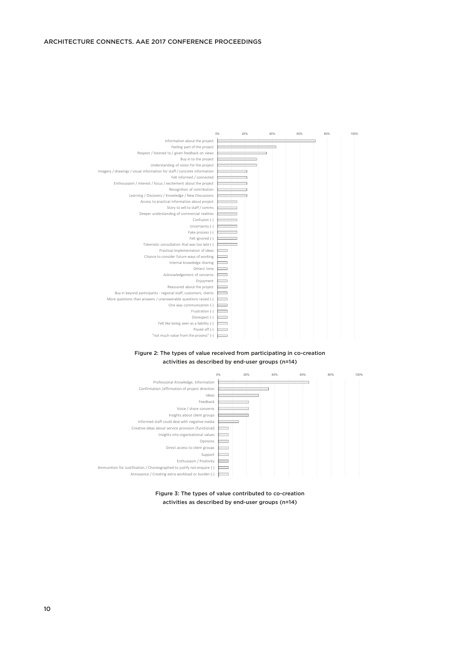## ARCHITECTURE CONNECTS. AAE 2017 CONFERENCE PROCEEDINGS



Figure 2: The types of value received from participating in co-creation activities as described by end-user groups (n=14)



Figure 3: The types of value contributed to co-creation activities as described by end-user groups (n=14)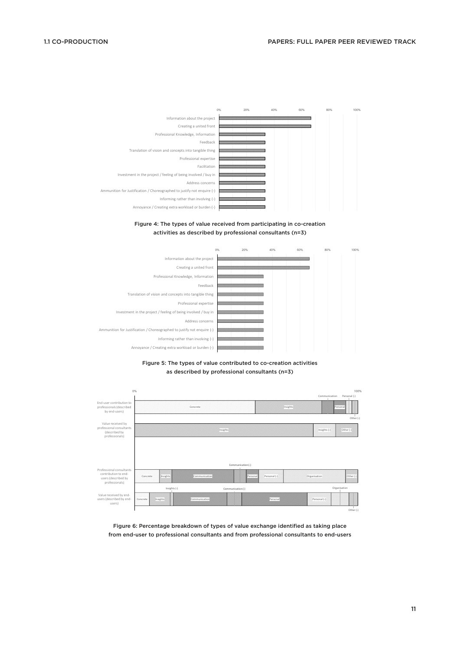









Figure 6: Percentage breakdown of types of value exchange identified as taking place from end-user to professional consultants and from professional consultants to end-users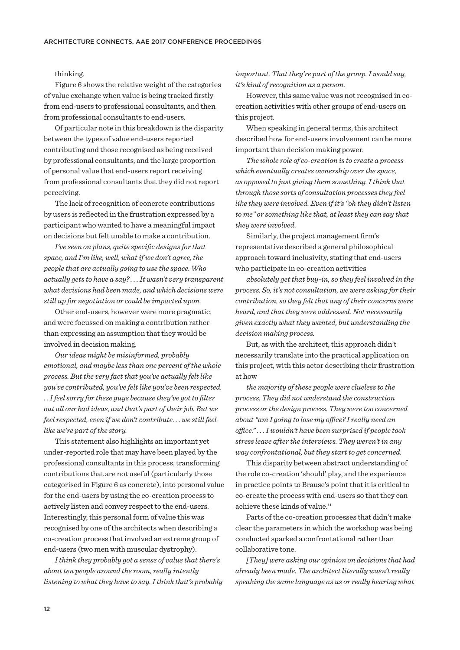## thinking.

Figure 6 shows the relative weight of the categories of value exchange when value is being tracked firstly from end-users to professional consultants, and then from professional consultants to end-users.

Of particular note in this breakdown is the disparity between the types of value end-users reported contributing and those recognised as being received by professional consultants, and the large proportion of personal value that end-users report receiving from professional consultants that they did not report perceiving.

The lack of recognition of concrete contributions by users is reflected in the frustration expressed by a participant who wanted to have a meaningful impact on decisions but felt unable to make a contribution.

*I've seen on plans, quite specific designs for that space, and I'm like, well, what if we don't agree, the people that are actually going to use the space. Who actually gets to have a say? . . . It wasn't very transparent what decisions had been made, and which decisions were still up for negotiation or could be impacted upon.*

Other end-users, however were more pragmatic, and were focussed on making a contribution rather than expressing an assumption that they would be involved in decision making.

*Our ideas might be misinformed, probably emotional, and maybe less than one percent of the whole process. But the very fact that you've actually felt like you've contributed, you've felt like you've been respected. . . I feel sorry for these guys because they've got to filter out all our bad ideas, and that's part of their job. But we feel respected, even if we don't contribute. . . we still feel like we're part of the story.*

This statement also highlights an important yet under-reported role that may have been played by the professional consultants in this process, transforming contributions that are not useful (particularly those categorised in Figure 6 as concrete), into personal value for the end-users by using the co-creation process to actively listen and convey respect to the end-users. Interestingly, this personal form of value this was recognised by one of the architects when describing a co-creation process that involved an extreme group of end-users (two men with muscular dystrophy).

*I think they probably got a sense of value that there's about ten people around the room, really intently listening to what they have to say. I think that's probably*  *important. That they're part of the group. I would say, it's kind of recognition as a person.*

However, this same value was not recognised in cocreation activities with other groups of end-users on this project.

When speaking in general terms, this architect described how for end-users involvement can be more important than decision making power.

*The whole role of co-creation is to create a process which eventually creates ownership over the space, as opposed to just giving them something. I think that through those sorts of consultation processes they feel like they were involved. Even if it's "oh they didn't listen to me" or something like that, at least they can say that they were involved.*

Similarly, the project management firm's representative described a general philosophical approach toward inclusivity, stating that end-users who participate in co-creation activities

*absolutely get that buy-in, so they feel involved in the process. So, it's not consultation, we were asking for their contribution, so they felt that any of their concerns were heard, and that they were addressed. Not necessarily given exactly what they wanted, but understanding the decision making process.*

But, as with the architect, this approach didn't necessarily translate into the practical application on this project, with this actor describing their frustration at how

*the majority of these people were clueless to the process. They did not understand the construction process or the design process. They were too concerned about "am I going to lose my ofce? I really need an ofce." . . . I wouldn't have been surprised if people took stress leave after the interviews. They weren't in any way confrontational, but they start to get concerned.*

This disparity between abstract understanding of the role co-creation 'should' play, and the experience in practice points to Brause's point that it is critical to co-create the process with end-users so that they can achieve these kinds of value.<sup>11</sup>

Parts of the co-creation processes that didn't make clear the parameters in which the workshop was being conducted sparked a confrontational rather than collaborative tone.

*[They] were asking our opinion on decisions that had already been made. The architect literally wasn't really speaking the same language as us or really hearing what*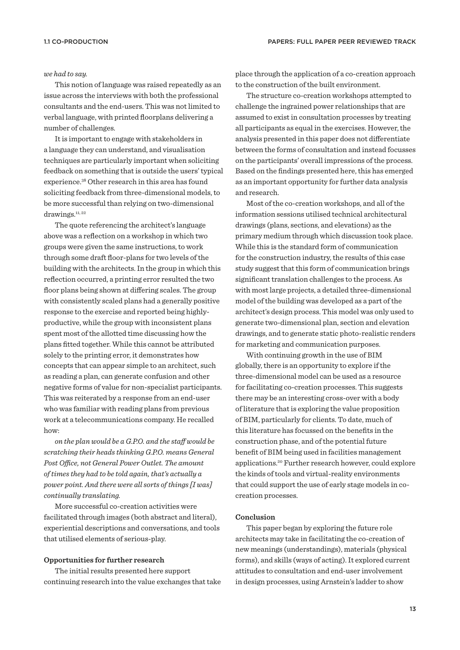#### *we had to say.*

This notion of language was raised repeatedly as an issue across the interviews with both the professional consultants and the end-users. This was not limited to verbal language, with printed floorplans delivering a number of challenges.

It is important to engage with stakeholders in a language they can understand, and visualisation techniques are particularly important when soliciting feedback on something that is outside the users' typical experience.<sup>38</sup> Other research in this area has found soliciting feedback from three-dimensional models, to be more successful than relying on two-dimensional drawings.<sup>11, 22</sup>

The quote referencing the architect's language above was a reflection on a workshop in which two groups were given the same instructions, to work through some draft floor-plans for two levels of the building with the architects. In the group in which this reflection occurred, a printing error resulted the two floor plans being shown at difering scales. The group with consistently scaled plans had a generally positive response to the exercise and reported being highlyproductive, while the group with inconsistent plans spent most of the allotted time discussing how the plans fitted together. While this cannot be attributed solely to the printing error, it demonstrates how concepts that can appear simple to an architect, such as reading a plan, can generate confusion and other negative forms of value for non-specialist participants. This was reiterated by a response from an end-user who was familiar with reading plans from previous work at a telecommunications company. He recalled how:

*on the plan would be a G.P.O. and the staf would be scratching their heads thinking G.P.O. means General Post Ofce, not General Power Outlet. The amount of times they had to be told again, that's actually a power point. And there were all sorts of things [I was] continually translating.*

More successful co-creation activities were facilitated through images (both abstract and literal), experiential descriptions and conversations, and tools that utilised elements of serious-play.

# **Opportunities for further research**

The initial results presented here support continuing research into the value exchanges that take place through the application of a co-creation approach to the construction of the built environment.

The structure co-creation workshops attempted to challenge the ingrained power relationships that are assumed to exist in consultation processes by treating all participants as equal in the exercises. However, the analysis presented in this paper does not diferentiate between the forms of consultation and instead focusses on the participants' overall impressions of the process. Based on the findings presented here, this has emerged as an important opportunity for further data analysis and research.

Most of the co-creation workshops, and all of the information sessions utilised technical architectural drawings (plans, sections, and elevations) as the primary medium through which discussion took place. While this is the standard form of communication for the construction industry, the results of this case study suggest that this form of communication brings significant translation challenges to the process. As with most large projects, a detailed three-dimensional model of the building was developed as a part of the architect's design process. This model was only used to generate two-dimensional plan, section and elevation drawings, and to generate static photo-realistic renders for marketing and communication purposes.

With continuing growth in the use of BIM globally, there is an opportunity to explore if the three-dimensional model can be used as a resource for facilitating co-creation processes. This suggests there may be an interesting cross-over with a body of literature that is exploring the value proposition of BIM, particularly for clients. To date, much of this literature has focussed on the benefits in the construction phase, and of the potential future benefit of BIM being used in facilities management applications.<sup>20</sup> Further research however, could explore the kinds of tools and virtual-reality environments that could support the use of early stage models in cocreation processes.

#### **Conclusion**

This paper began by exploring the future role architects may take in facilitating the co-creation of new meanings (understandings), materials (physical forms), and skills (ways of acting). It explored current attitudes to consultation and end-user involvement in design processes, using Arnstein's ladder to show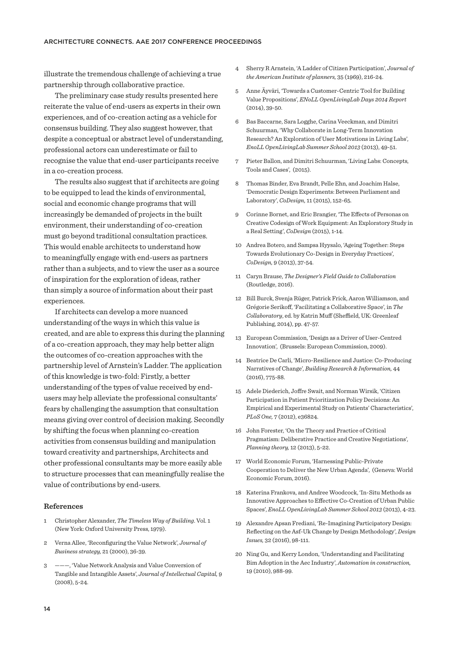illustrate the tremendous challenge of achieving a true partnership through collaborative practice.

The preliminary case study results presented here reiterate the value of end-users as experts in their own experiences, and of co-creation acting as a vehicle for consensus building. They also suggest however, that despite a conceptual or abstract level of understanding, professional actors can underestimate or fail to recognise the value that end-user participants receive in a co-creation process.

The results also suggest that if architects are going to be equipped to lead the kinds of environmental, social and economic change programs that will increasingly be demanded of projects in the built environment, their understanding of co-creation must go beyond traditional consultation practices. This would enable architects to understand how to meaningfully engage with end-users as partners rather than a subjects, and to view the user as a source of inspiration for the exploration of ideas, rather than simply a source of information about their past experiences.

If architects can develop a more nuanced understanding of the ways in which this value is created, and are able to express this during the planning of a co-creation approach, they may help better align the outcomes of co-creation approaches with the partnership level of Arnstein's Ladder. The application of this knowledge is two-fold: Firstly, a better understanding of the types of value received by endusers may help alleviate the professional consultants' fears by challenging the assumption that consultation means giving over control of decision making. Secondly by shifting the focus when planning co-creation activities from consensus building and manipulation toward creativity and partnerships, Architects and other professional consultants may be more easily able to structure processes that can meaningfully realise the value of contributions by end-users.

#### **References**

- 1 Christopher Alexander, *The Timeless Way of Building*. Vol. 1 (New York: Oxford University Press, 1979).
- 2 Verna Allee, 'Reconfiguring the Value Network', *Journal of Business strategy,* 21 (2000), 36-39.
- 3 ———, 'Value Network Analysis and Value Conversion of Tangible and Intangible Assets', *Journal of Intellectual Capital,* 9 (2008), 5-24.
- 4 Sherry R Arnstein, 'A Ladder of Citizen Participation', *Journal of the American Institute of planners,* 35 (1969), 216-24.
- 5 Anne Äyväri, 'Towards a Customer-Centric Tool for Building Value Propositions', *ENoLL OpenLivingLab Days 2014 Report* (2014), 39-50.
- 6 Bas Baccarne, Sara Logghe, Carina Veeckman, and Dimitri Schuurman, 'Why Collaborate in Long-Term Innovation Research? An Exploration of User Motivations in Living Labs', *EnoLL OpenLivingLab Summer School 2013* (2013), 49-51.
- 7 Pieter Ballon, and Dimitri Schuurman, 'Living Labs: Concepts, Tools and Cases', (2015).
- 8 Thomas Binder, Eva Brandt, Pelle Ehn, and Joachim Halse, 'Democratic Design Experiments: Between Parliament and Laboratory', *CoDesign,* 11 (2015), 152-65.
- 9 Corinne Bornet, and Eric Brangier, 'The Efects of Personas on Creative Codesign of Work Equipment: An Exploratory Study in a Real Setting', *CoDesign* (2015), 1-14.
- 10 Andrea Botero, and Sampsa Hyysalo, 'Ageing Together: Steps Towards Evolutionary Co-Design in Everyday Practices', *CoDesign,* 9 (2013), 37-54.
- 11 Caryn Brause, *The Designer's Field Guide to Collaboration* (Routledge, 2016).
- 12 Bill Burck, Svenja Rüger, Patrick Frick, Aaron Williamson, and Grégorie Serikoff, 'Facilitating a Collaborative Space', in The *Collaboratory*, ed. by Katrin Muff (Sheffield, UK: Greenleaf Publishing, 2014), pp. 47-57.
- 13 European Commission, 'Design as a Driver of User-Centred Innovation', (Brussels: European Commission, 2009).
- 14 Beatrice De Carli, 'Micro-Resilience and Justice: Co-Producing Narratives of Change', *Building Research & Information,* 44 (2016), 775-88.
- 15 Adele Diederich, Jofre Swait, and Norman Wirsik, 'Citizen Participation in Patient Prioritization Policy Decisions: An Empirical and Experimental Study on Patients' Characteristics', *PLoS One,* 7 (2012), e36824.
- 16 John Forester, 'On the Theory and Practice of Critical Pragmatism: Deliberative Practice and Creative Negotiations', *Planning theory,* 12 (2013), 5-22.
- 17 World Economic Forum, 'Harnessing Public-Private Cooperation to Deliver the New Urban Agenda', (Geneva: World Economic Forum, 2016).
- 18 Katerina Frankova, and Andree Woodcock, 'In-Situ Methods as Innovative Approaches to Efective Co-Creation of Urban Public Spaces', *EnoLL OpenLivingLab Summer School 2013* (2013), 4-23.
- 19 Alexandre Apsan Frediani, 'Re-Imagining Participatory Design: Reflecting on the Asf-Uk Change by Design Methodology', *Design Issues,* 32 (2016), 98-111.
- 20 Ning Gu, and Kerry London, 'Understanding and Facilitating Bim Adoption in the Aec Industry', *Automation in construction,* 19 (2010), 988-99.